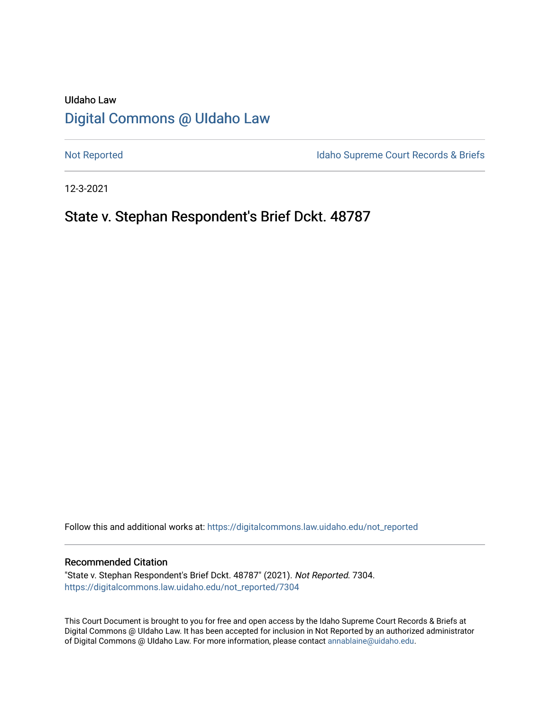# UIdaho Law [Digital Commons @ UIdaho Law](https://digitalcommons.law.uidaho.edu/)

[Not Reported](https://digitalcommons.law.uidaho.edu/not_reported) **Idaho Supreme Court Records & Briefs** 

12-3-2021

# State v. Stephan Respondent's Brief Dckt. 48787

Follow this and additional works at: [https://digitalcommons.law.uidaho.edu/not\\_reported](https://digitalcommons.law.uidaho.edu/not_reported?utm_source=digitalcommons.law.uidaho.edu%2Fnot_reported%2F7304&utm_medium=PDF&utm_campaign=PDFCoverPages) 

#### Recommended Citation

"State v. Stephan Respondent's Brief Dckt. 48787" (2021). Not Reported. 7304. [https://digitalcommons.law.uidaho.edu/not\\_reported/7304](https://digitalcommons.law.uidaho.edu/not_reported/7304?utm_source=digitalcommons.law.uidaho.edu%2Fnot_reported%2F7304&utm_medium=PDF&utm_campaign=PDFCoverPages)

This Court Document is brought to you for free and open access by the Idaho Supreme Court Records & Briefs at Digital Commons @ UIdaho Law. It has been accepted for inclusion in Not Reported by an authorized administrator of Digital Commons @ UIdaho Law. For more information, please contact [annablaine@uidaho.edu](mailto:annablaine@uidaho.edu).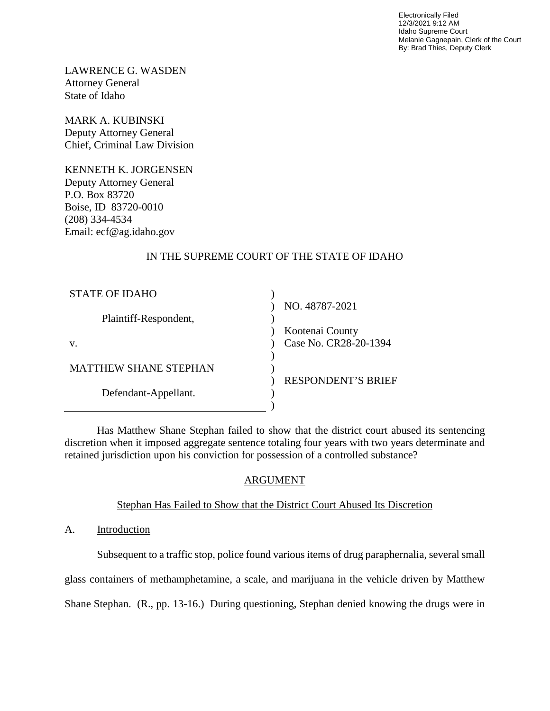Electronically Filed 12/3/2021 9:12 AM Idaho Supreme Court Melanie Gagnepain, Clerk of the Court By: Brad Thies, Deputy Clerk

LAWRENCE G. WASDEN Attorney General State of Idaho

MARK A. KUBINSKI Deputy Attorney General Chief, Criminal Law Division

KENNETH K. JORGENSEN Deputy Attorney General P.O. Box 83720 Boise, ID 83720-0010 (208) 334-4534 Email: ecf@ag.idaho.gov

# IN THE SUPREME COURT OF THE STATE OF IDAHO

| <b>STATE OF IDAHO</b>        |                           |
|------------------------------|---------------------------|
|                              | NO. 48787-2021            |
| Plaintiff-Respondent,        |                           |
|                              | Kootenai County           |
| V.                           | Case No. CR28-20-1394     |
|                              |                           |
| <b>MATTHEW SHANE STEPHAN</b> |                           |
|                              | <b>RESPONDENT'S BRIEF</b> |
| Defendant-Appellant.         |                           |
|                              |                           |

Has Matthew Shane Stephan failed to show that the district court abused its sentencing discretion when it imposed aggregate sentence totaling four years with two years determinate and retained jurisdiction upon his conviction for possession of a controlled substance?

# ARGUMENT

# Stephan Has Failed to Show that the District Court Abused Its Discretion

A. Introduction

Subsequent to a traffic stop, police found various items of drug paraphernalia, several small

glass containers of methamphetamine, a scale, and marijuana in the vehicle driven by Matthew

Shane Stephan. (R., pp. 13-16.) During questioning, Stephan denied knowing the drugs were in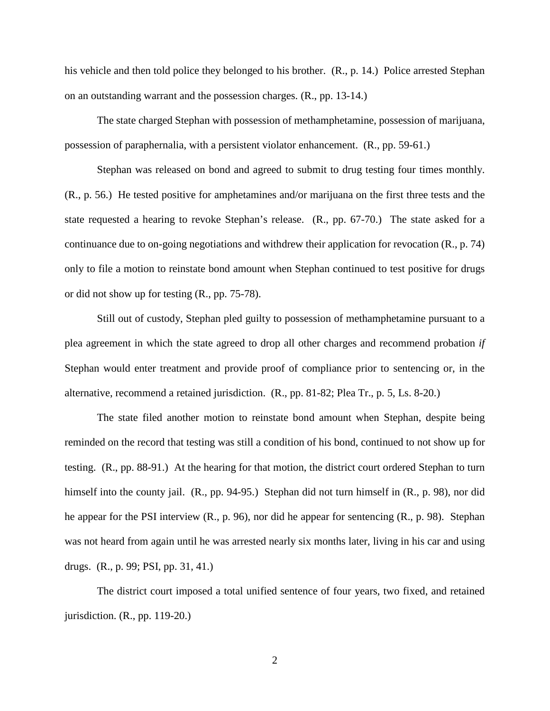his vehicle and then told police they belonged to his brother. (R., p. 14.) Police arrested Stephan on an outstanding warrant and the possession charges. (R., pp. 13-14.)

The state charged Stephan with possession of methamphetamine, possession of marijuana, possession of paraphernalia, with a persistent violator enhancement. (R., pp. 59-61.)

Stephan was released on bond and agreed to submit to drug testing four times monthly. (R., p. 56.) He tested positive for amphetamines and/or marijuana on the first three tests and the state requested a hearing to revoke Stephan's release. (R., pp. 67-70.) The state asked for a continuance due to on-going negotiations and withdrew their application for revocation (R., p. 74) only to file a motion to reinstate bond amount when Stephan continued to test positive for drugs or did not show up for testing (R., pp. 75-78).

Still out of custody, Stephan pled guilty to possession of methamphetamine pursuant to a plea agreement in which the state agreed to drop all other charges and recommend probation *if* Stephan would enter treatment and provide proof of compliance prior to sentencing or, in the alternative, recommend a retained jurisdiction. (R., pp. 81-82; Plea Tr., p. 5, Ls. 8-20.)

The state filed another motion to reinstate bond amount when Stephan, despite being reminded on the record that testing was still a condition of his bond, continued to not show up for testing. (R., pp. 88-91.) At the hearing for that motion, the district court ordered Stephan to turn himself into the county jail. (R., pp. 94-95.) Stephan did not turn himself in (R., p. 98), nor did he appear for the PSI interview (R., p. 96), nor did he appear for sentencing (R., p. 98). Stephan was not heard from again until he was arrested nearly six months later, living in his car and using drugs. (R., p. 99; PSI, pp. 31, 41.)

The district court imposed a total unified sentence of four years, two fixed, and retained jurisdiction. (R., pp. 119-20.)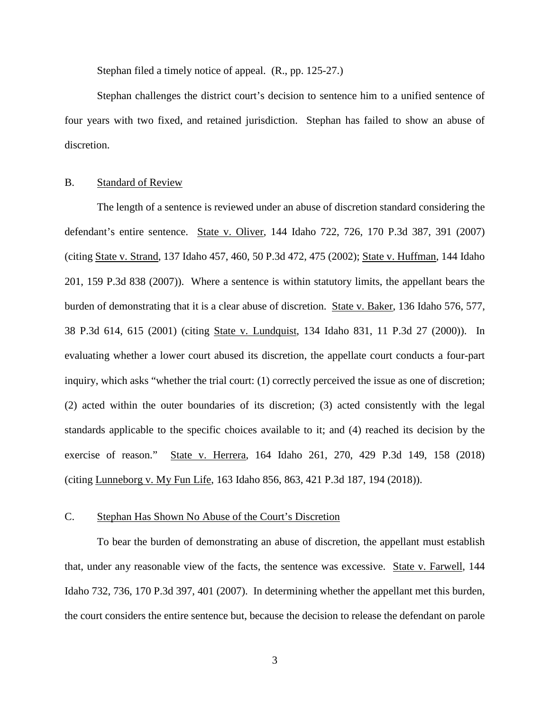Stephan filed a timely notice of appeal. (R., pp. 125-27.)

Stephan challenges the district court's decision to sentence him to a unified sentence of four years with two fixed, and retained jurisdiction. Stephan has failed to show an abuse of discretion.

#### B. Standard of Review

The length of a sentence is reviewed under an abuse of discretion standard considering the defendant's entire sentence. State v. Oliver, 144 Idaho 722, 726, 170 P.3d 387, 391 (2007) (citing State v. Strand, 137 Idaho 457, 460, 50 P.3d 472, 475 (2002); State v. Huffman, 144 Idaho 201, 159 P.3d 838 (2007)). Where a sentence is within statutory limits, the appellant bears the burden of demonstrating that it is a clear abuse of discretion. State v. Baker, 136 Idaho 576, 577, 38 P.3d 614, 615 (2001) (citing State v. Lundquist, 134 Idaho 831, 11 P.3d 27 (2000)). In evaluating whether a lower court abused its discretion, the appellate court conducts a four-part inquiry, which asks "whether the trial court: (1) correctly perceived the issue as one of discretion; (2) acted within the outer boundaries of its discretion; (3) acted consistently with the legal standards applicable to the specific choices available to it; and (4) reached its decision by the exercise of reason." State v. Herrera, 164 Idaho 261, 270, 429 P.3d 149, 158 (2018) (citing Lunneborg v. My Fun Life, 163 Idaho 856, 863, 421 P.3d 187, 194 (2018)).

### C. Stephan Has Shown No Abuse of the Court's Discretion

To bear the burden of demonstrating an abuse of discretion, the appellant must establish that, under any reasonable view of the facts, the sentence was excessive. State v. Farwell, 144 Idaho 732, 736, 170 P.3d 397, 401 (2007). In determining whether the appellant met this burden, the court considers the entire sentence but, because the decision to release the defendant on parole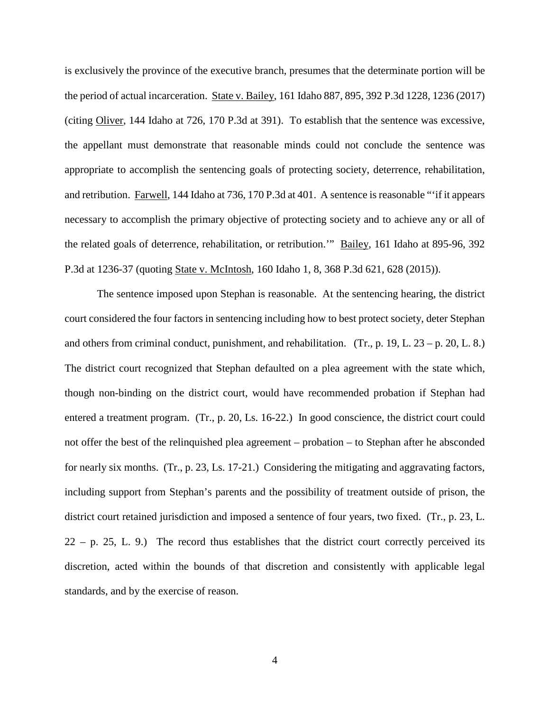is exclusively the province of the executive branch, presumes that the determinate portion will be the period of actual incarceration. State v. Bailey, 161 Idaho 887, 895, 392 P.3d 1228, 1236 (2017) (citing Oliver, 144 Idaho at 726, 170 P.3d at 391). To establish that the sentence was excessive, the appellant must demonstrate that reasonable minds could not conclude the sentence was appropriate to accomplish the sentencing goals of protecting society, deterrence, rehabilitation, and retribution. Farwell, 144 Idaho at 736, 170 P.3d at 401. A sentence is reasonable "'if it appears necessary to accomplish the primary objective of protecting society and to achieve any or all of the related goals of deterrence, rehabilitation, or retribution.'" Bailey, 161 Idaho at 895-96, 392 P.3d at 1236-37 (quoting State v. McIntosh, 160 Idaho 1, 8, 368 P.3d 621, 628 (2015)).

The sentence imposed upon Stephan is reasonable. At the sentencing hearing, the district court considered the four factors in sentencing including how to best protect society, deter Stephan and others from criminal conduct, punishment, and rehabilitation. (Tr., p. 19, L. 23 – p. 20, L. 8.) The district court recognized that Stephan defaulted on a plea agreement with the state which, though non-binding on the district court, would have recommended probation if Stephan had entered a treatment program. (Tr., p. 20, Ls. 16-22.) In good conscience, the district court could not offer the best of the relinquished plea agreement – probation – to Stephan after he absconded for nearly six months. (Tr., p. 23, Ls. 17-21.) Considering the mitigating and aggravating factors, including support from Stephan's parents and the possibility of treatment outside of prison, the district court retained jurisdiction and imposed a sentence of four years, two fixed. (Tr., p. 23, L.  $22 - p$ . 25, L. 9.) The record thus establishes that the district court correctly perceived its discretion, acted within the bounds of that discretion and consistently with applicable legal standards, and by the exercise of reason.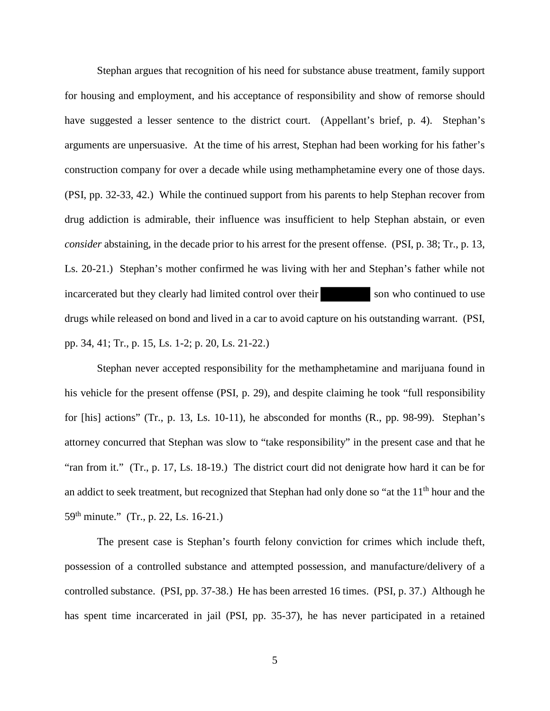Stephan argues that recognition of his need for substance abuse treatment, family support for housing and employment, and his acceptance of responsibility and show of remorse should have suggested a lesser sentence to the district court. (Appellant's brief, p. 4). Stephan's arguments are unpersuasive. At the time of his arrest, Stephan had been working for his father's construction company for over a decade while using methamphetamine every one of those days. (PSI, pp. 32-33, 42.) While the continued support from his parents to help Stephan recover from drug addiction is admirable, their influence was insufficient to help Stephan abstain, or even *consider* abstaining, in the decade prior to his arrest for the present offense. (PSI, p. 38; Tr., p. 13, Ls. 20-21.) Stephan's mother confirmed he was living with her and Stephan's father while not incarcerated but they clearly had limited control over their son who continued to use drugs while released on bond and lived in a car to avoid capture on his outstanding warrant. (PSI, pp. 34, 41; Tr., p. 15, Ls. 1-2; p. 20, Ls. 21-22.)

Stephan never accepted responsibility for the methamphetamine and marijuana found in his vehicle for the present offense (PSI, p. 29), and despite claiming he took "full responsibility for [his] actions" (Tr., p. 13, Ls. 10-11), he absconded for months (R., pp. 98-99). Stephan's attorney concurred that Stephan was slow to "take responsibility" in the present case and that he "ran from it." (Tr., p. 17, Ls. 18-19.) The district court did not denigrate how hard it can be for an addict to seek treatment, but recognized that Stephan had only done so "at the 11<sup>th</sup> hour and the 59th minute." (Tr., p. 22, Ls. 16-21.)

The present case is Stephan's fourth felony conviction for crimes which include theft, possession of a controlled substance and attempted possession, and manufacture/delivery of a controlled substance. (PSI, pp. 37-38.) He has been arrested 16 times. (PSI, p. 37.) Although he has spent time incarcerated in jail (PSI, pp. 35-37), he has never participated in a retained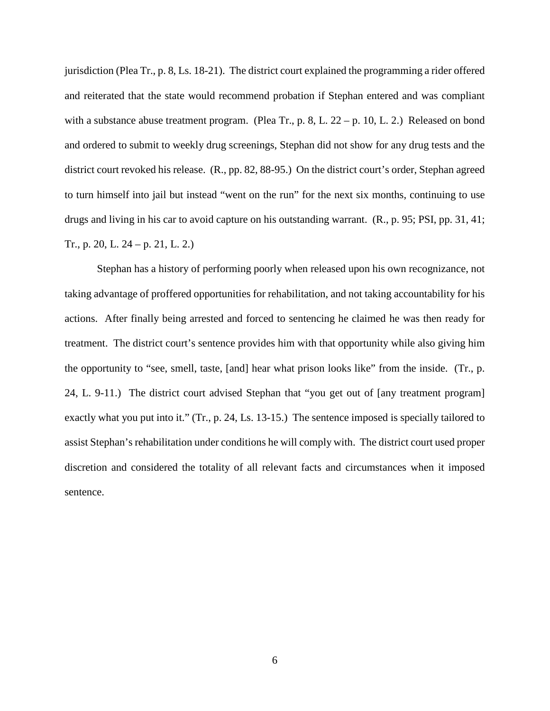jurisdiction (Plea Tr., p. 8, Ls. 18-21). The district court explained the programming a rider offered and reiterated that the state would recommend probation if Stephan entered and was compliant with a substance abuse treatment program. (Plea Tr., p. 8, L. 22 – p. 10, L. 2.) Released on bond and ordered to submit to weekly drug screenings, Stephan did not show for any drug tests and the district court revoked his release. (R., pp. 82, 88-95.) On the district court's order, Stephan agreed to turn himself into jail but instead "went on the run" for the next six months, continuing to use drugs and living in his car to avoid capture on his outstanding warrant. (R., p. 95; PSI, pp. 31, 41; Tr., p. 20, L. 24 – p. 21, L. 2.)

Stephan has a history of performing poorly when released upon his own recognizance, not taking advantage of proffered opportunities for rehabilitation, and not taking accountability for his actions. After finally being arrested and forced to sentencing he claimed he was then ready for treatment. The district court's sentence provides him with that opportunity while also giving him the opportunity to "see, smell, taste, [and] hear what prison looks like" from the inside. (Tr., p. 24, L. 9-11.) The district court advised Stephan that "you get out of [any treatment program] exactly what you put into it." (Tr., p. 24, Ls. 13-15.) The sentence imposed is specially tailored to assist Stephan's rehabilitation under conditions he will comply with. The district court used proper discretion and considered the totality of all relevant facts and circumstances when it imposed sentence.